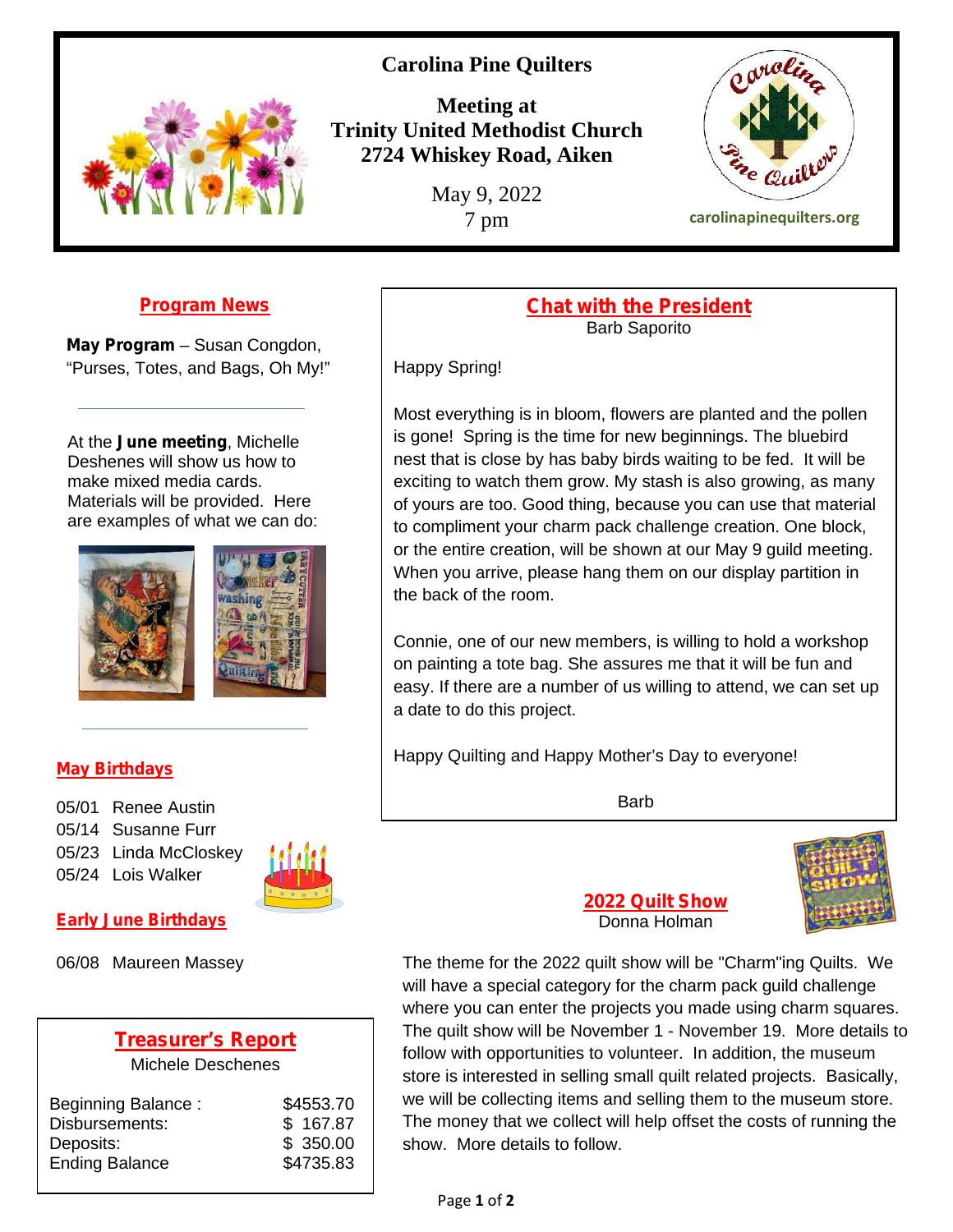# **Carolina Pine Quilters**



**Meeting at Trinity United Methodist Church 2724 Whiskey Road, Aiken**

May 9, 2022



7 pm **carolinapinequilters.org**

## **Program News**

**May Program** – Susan Congdon, "Purses, Totes, and Bags, Oh My!"

At the **June meeting**, Michelle Deshenes will show us how to make mixed media cards. Materials will be provided. Here are examples of what we can do:





### **May Birthdays**

05/01 Renee Austin 05/14 Susanne Furr 05/23 Linda McCloskey 05/24 Lois Walker



#### **Early June Birthdays**

06/08 Maureen Massey

# **Treasurer's Report**

Michele Deschenes

| Beginning Balance:                 | \$4553.70             | we  |
|------------------------------------|-----------------------|-----|
| Disbursements:                     | \$167.87              | Th  |
| Deposits:<br><b>Ending Balance</b> | \$350.00<br>\$4735.83 | sho |

#### **Chat with the President** Barb Saporito

Happy Spring!

Most everything is in bloom, flowers are planted and the pollen is gone! Spring is the time for new beginnings. The bluebird nest that is close by has baby birds waiting to be fed. It will be exciting to watch them grow. My stash is also growing, as many of yours are too. Good thing, because you can use that material to compliment your charm pack challenge creation. One block, or the entire creation, will be shown at our May 9 guild meeting. When you arrive, please hang them on our display partition in the back of the room.

Connie, one of our new members, is willing to hold a workshop on painting a tote bag. She assures me that it will be fun and easy. If there are a number of us willing to attend, we can set up a date to do this project.

Happy Quilting and Happy Mother's Day to everyone!

Barb



**2022 Quilt Show** Donna Holman

The theme for the 2022 quilt show will be "Charm"ing Quilts. We will have a special category for the charm pack guild challenge where you can enter the projects you made using charm squares. The quilt show will be November 1 - November 19. More details to follow with opportunities to volunteer. In addition, the museum store is interested in selling small quilt related projects. Basically, we will be collecting items and selling them to the museum store. The money that we collect will help offset the costs of running the show. More details to follow.